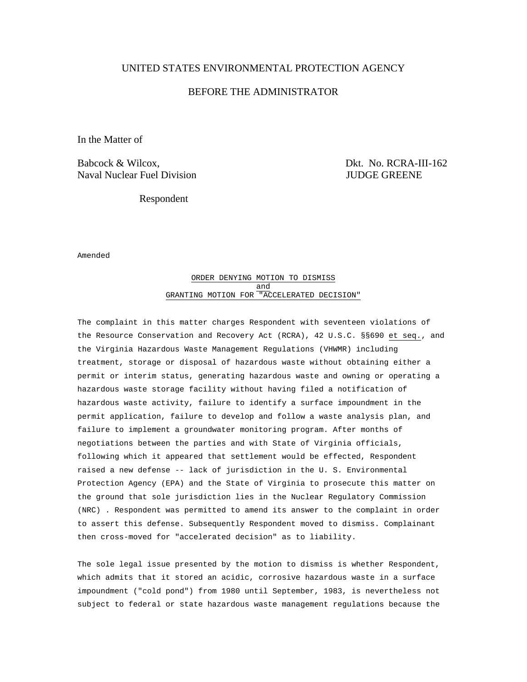# UNITED STATES ENVIRONMENTAL PROTECTION AGENCY

# BEFORE THE ADMINISTRATOR

In the Matter of

Babcock & Wilcox,  $D_k$  Dkt. No. RCRA-III-162 Naval Nuclear Fuel Division **JUDGE GREENE** 

Respondent

Amended

### ORDER DENYING MOTION TO DISMISS and GRANTING MOTION FOR "ACCELERATED DECISION"

The complaint in this matter charges Respondent with seventeen violations of the Resource Conservation and Recovery Act (RCRA), 42 U.S.C. §§690 et seq., and the Virginia Hazardous Waste Management Regulations (VHWMR) including treatment, storage or disposal of hazardous waste without obtaining either a permit or interim status, generating hazardous waste and owning or operating a hazardous waste storage facility without having filed a notification of hazardous waste activity, failure to identify a surface impoundment in the permit application, failure to develop and follow a waste analysis plan, and failure to implement a groundwater monitoring program. After months of negotiations between the parties and with State of Virginia officials, following which it appeared that settlement would be effected, Respondent raised a new defense -- lack of jurisdiction in the U. S. Environmental Protection Agency (EPA) and the State of Virginia to prosecute this matter on the ground that sole jurisdiction lies in the Nuclear Regulatory Commission (NRC) . Respondent was permitted to amend its answer to the complaint in order to assert this defense. Subsequently Respondent moved to dismiss. Complainant then cross-moved for "accelerated decision" as to liability.

The sole legal issue presented by the motion to dismiss is whether Respondent, which admits that it stored an acidic, corrosive hazardous waste in a surface impoundment ("cold pond") from 1980 until September, 1983, is nevertheless not subject to federal or state hazardous waste management regulations because the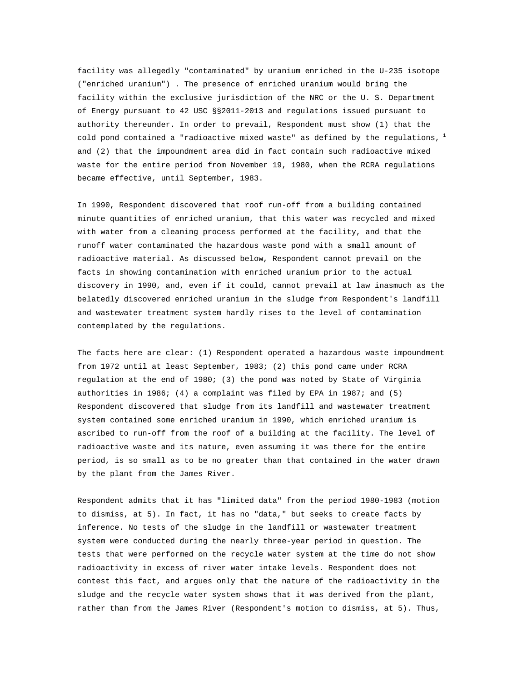facility was allegedly "contaminated" by uranium enriched in the U-235 isotope ("enriched uranium") . The presence of enriched uranium would bring the facility within the exclusive jurisdiction of the NRC or the U. S. Department of Energy pursuant to 42 USC §§2011-2013 and regulations issued pursuant to authority thereunder. In order to prevail, Respondent must show (1) that the cold pond contained a "radioactive mixed waste" as defined by the regulations,  $\frac{1}{2}$ and (2) that the impoundment area did in fact contain such radioactive mixed waste for the entire period from November 19, 1980, when the RCRA regulations became effective, until September, 1983.

In 1990, Respondent discovered that roof run-off from a building contained minute quantities of enriched uranium, that this water was recycled and mixed with water from a cleaning process performed at the facility, and that the runoff water contaminated the hazardous waste pond with a small amount of radioactive material. As discussed below, Respondent cannot prevail on the facts in showing contamination with enriched uranium prior to the actual discovery in 1990, and, even if it could, cannot prevail at law inasmuch as the belatedly discovered enriched uranium in the sludge from Respondent's landfill and wastewater treatment system hardly rises to the level of contamination contemplated by the regulations.

The facts here are clear: (1) Respondent operated a hazardous waste impoundment from 1972 until at least September, 1983; (2) this pond came under RCRA regulation at the end of 1980; (3) the pond was noted by State of Virginia authorities in 1986; (4) a complaint was filed by EPA in 1987; and (5) Respondent discovered that sludge from its landfill and wastewater treatment system contained some enriched uranium in 1990, which enriched uranium is ascribed to run-off from the roof of a building at the facility. The level of radioactive waste and its nature, even assuming it was there for the entire period, is so small as to be no greater than that contained in the water drawn by the plant from the James River.

Respondent admits that it has "limited data" from the period 1980-1983 (motion to dismiss, at 5). In fact, it has no "data," but seeks to create facts by inference. No tests of the sludge in the landfill or wastewater treatment system were conducted during the nearly three-year period in question. The tests that were performed on the recycle water system at the time do not show radioactivity in excess of river water intake levels. Respondent does not contest this fact, and argues only that the nature of the radioactivity in the sludge and the recycle water system shows that it was derived from the plant, rather than from the James River (Respondent's motion to dismiss, at 5). Thus,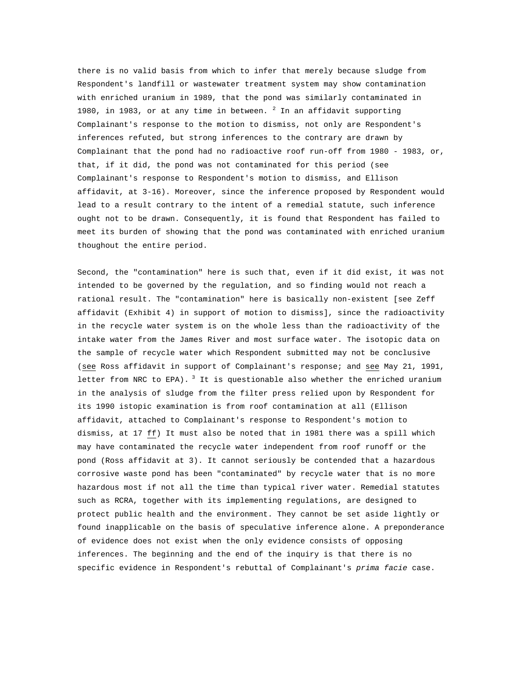there is no valid basis from which to infer that merely because sludge from Respondent's landfill or wastewater treatment system may show contamination with enriched uranium in 1989, that the pond was similarly contaminated in 1980, in 1983, or at any time in between.  $^2$  In an affidavit supporting Complainant's response to the motion to dismiss, not only are Respondent's inferences refuted, but strong inferences to the contrary are drawn by Complainant that the pond had no radioactive roof run-off from 1980 - 1983, or, that, if it did, the pond was not contaminated for this period (see Complainant's response to Respondent's motion to dismiss, and Ellison affidavit, at 3-16). Moreover, since the inference proposed by Respondent would lead to a result contrary to the intent of a remedial statute, such inference ought not to be drawn. Consequently, it is found that Respondent has failed to meet its burden of showing that the pond was contaminated with enriched uranium thoughout the entire period.

Second, the "contamination" here is such that, even if it did exist, it was not intended to be governed by the regulation, and so finding would not reach a rational result. The "contamination" here is basically non-existent [see Zeff affidavit (Exhibit 4) in support of motion to dismiss], since the radioactivity in the recycle water system is on the whole less than the radioactivity of the intake water from the James River and most surface water. The isotopic data on the sample of recycle water which Respondent submitted may not be conclusive (see Ross affidavit in support of Complainant's response; and see May 21, 1991, letter from NRC to EPA).  $3$  It is questionable also whether the enriched uranium in the analysis of sludge from the filter press relied upon by Respondent for its 1990 istopic examination is from roof contamination at all (Ellison affidavit, attached to Complainant's response to Respondent's motion to dismiss, at 17 ff) It must also be noted that in 1981 there was a spill which may have contaminated the recycle water independent from roof runoff or the pond (Ross affidavit at 3). It cannot seriously be contended that a hazardous corrosive waste pond has been "contaminated" by recycle water that is no more hazardous most if not all the time than typical river water. Remedial statutes such as RCRA, together with its implementing regulations, are designed to protect public health and the environment. They cannot be set aside lightly or found inapplicable on the basis of speculative inference alone. A preponderance of evidence does not exist when the only evidence consists of opposing inferences. The beginning and the end of the inquiry is that there is no specific evidence in Respondent's rebuttal of Complainant's *prima facie* case.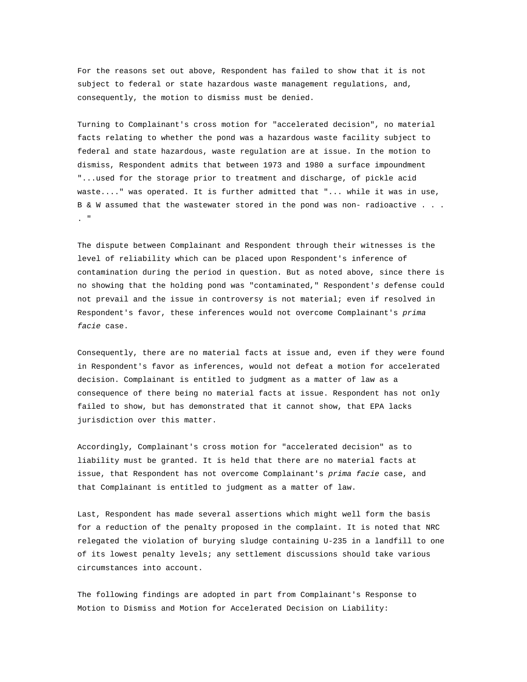For the reasons set out above, Respondent has failed to show that it is not subject to federal or state hazardous waste management regulations, and, consequently, the motion to dismiss must be denied.

Turning to Complainant's cross motion for "accelerated decision", no material facts relating to whether the pond was a hazardous waste facility subject to federal and state hazardous, waste regulation are at issue. In the motion to dismiss, Respondent admits that between 1973 and 1980 a surface impoundment "...used for the storage prior to treatment and discharge, of pickle acid waste...." was operated. It is further admitted that "... while it was in use, B & W assumed that the wastewater stored in the pond was non- radioactive . . . . "

The dispute between Complainant and Respondent through their witnesses is the level of reliability which can be placed upon Respondent's inference of contamination during the period in question. But as noted above, since there is no showing that the holding pond was "contaminated," Respondent'*s* defense could not prevail and the issue in controversy is not material; even if resolved in Respondent's favor, these inferences would not overcome Complainant's *prima facie* case.

Consequently, there are no material facts at issue and, even if they were found in Respondent's favor as inferences, would not defeat a motion for accelerated decision. Complainant is entitled to judgment as a matter of law as a consequence of there being no material facts at issue. Respondent has not only failed to show, but has demonstrated that it cannot show, that EPA lacks jurisdiction over this matter.

Accordingly, Complainant's cross motion for "accelerated decision" as to liability must be granted. It is held that there are no material facts at issue, that Respondent has not overcome Complainant's *prima facie* case, and that Complainant is entitled to judgment as a matter of law.

Last, Respondent has made several assertions which might well form the basis for a reduction of the penalty proposed in the complaint. It is noted that NRC relegated the violation of burying sludge containing U-235 in a landfill to one of its lowest penalty levels; any settlement discussions should take various circumstances into account.

The following findings are adopted in part from Complainant's Response to Motion to Dismiss and Motion for Accelerated Decision on Liability: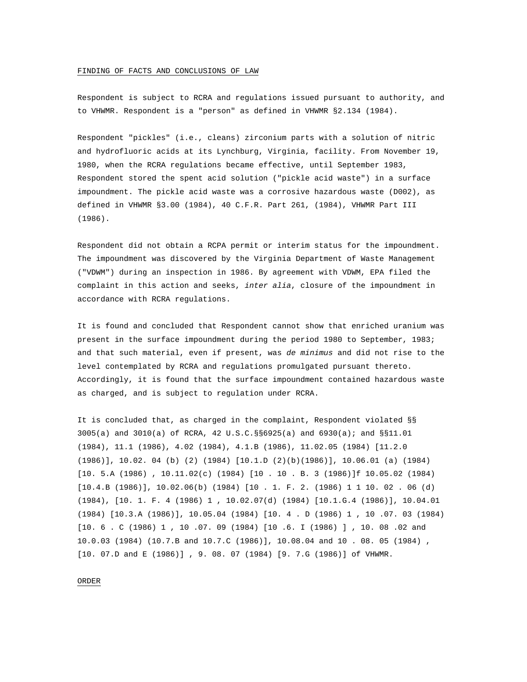#### FINDING OF FACTS AND CONCLUSIONS OF LAW

Respondent is subject to RCRA and regulations issued pursuant to authority, and to VHWMR. Respondent is a "person" as defined in VHWMR §2.134 (1984).

Respondent "pickles" (i.e., cleans) zirconium parts with a solution of nitric and hydrofluoric acids at its Lynchburg, Virginia, facility. From November 19, 1980, when the RCRA regulations became effective, until September 1983, Respondent stored the spent acid solution ("pickle acid waste") in a surface impoundment. The pickle acid waste was a corrosive hazardous waste (D002), as defined in VHWMR §3.00 (1984), 40 C.F.R. Part 261, (1984), VHWMR Part III (1986).

Respondent did not obtain a RCPA permit or interim status for the impoundment. The impoundment was discovered by the Virginia Department of Waste Management ("VDWM") during an inspection in 1986. By agreement with VDWM, EPA filed the complaint in this action and seeks, *inter alia*, closure of the impoundment in accordance with RCRA regulations.

It is found and concluded that Respondent cannot show that enriched uranium was present in the surface impoundment during the period 1980 to September, 1983; and that such material, even if present, was *de minimus* and did not rise to the level contemplated by RCRA and regulations promulgated pursuant thereto. Accordingly, it is found that the surface impoundment contained hazardous waste as charged, and is subject to regulation under RCRA.

It is concluded that, as charged in the complaint, Respondent violated §§ 3005(a) and 3010(a) of RCRA, 42 U.S.C.§§6925(a) and 6930(a); and §§11.01 (1984), 11.1 (1986), 4.02 (1984), 4.1.B (1986), 11.02.05 (1984) [11.2.0 (1986)], 10.02. 04 (b) (2) (1984) [10.1.D (2)(b)(1986)], 10.06.01 (a) (1984) [10. 5.A (1986) , 10.11.02(c) (1984) [10 . 10 . B. 3 (1986)]f 10.05.02 (1984) [10.4.B (1986)], 10.02.06(b) (1984) [10 . 1*.* F. 2. (1986) 1 1 10. 02 . 06 (d) (1984), [10. 1. F. 4 (1986) 1 , 10.02.07(d) (1984) [10.1.G.4 (1986)], 10.04.01 (1984) [10.3.A (1986)], 10.05.04 (1984) [10. 4 . D (1986) 1 , 10 .07. 03 (1984) [10. 6 . C (1986) 1 , 10 .07. 09 (1984) [10 .6. I (1986) ] , 10. 08 .02 and 10.0.03 (1984) (10.7.B and 10.7.C (1986)], 10.08.04 and 10 . 08. 05 (1984) , [10. 07.D and E (1986)] , 9. 08. 07 (1984) [9. 7.G (1986)] of VHWMR.

ORDER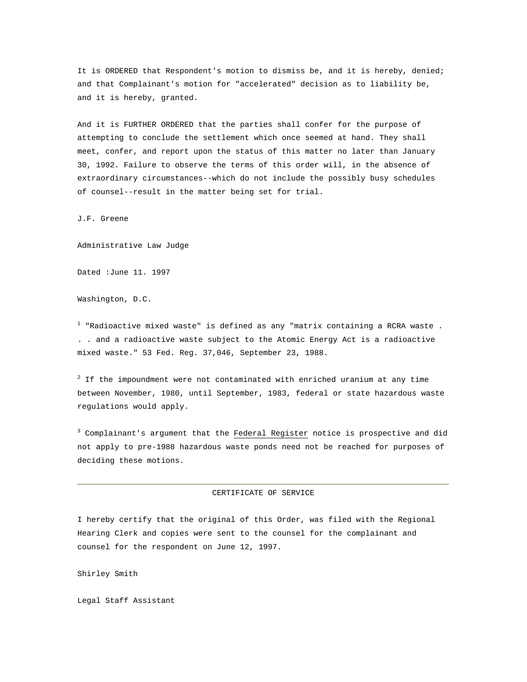It is ORDERED that Respondent's motion to dismiss be, and it is hereby, denied; and that Complainant's motion for "accelerated" decision as to liability be, and it is hereby, granted.

And it is FURTHER ORDERED that the parties shall confer for the purpose of attempting to conclude the settlement which once seemed at hand. They shall meet, confer, and report upon the status of this matter no later than January 30, 1992. Failure to observe the terms of this order will, in the absence of extraordinary circumstances--which do not include the possibly busy schedules of counsel--result in the matter being set for trial.

J.F. Greene

Administrative Law Judge

Dated :June 11. 1997

Washington, D.C.

 $^{\text{\tiny{\textup{1}}} }$  "Radioactive mixed waste" is defined as any "matrix containing a RCRA waste . . . and a radioactive waste subject to the Atomic Energy Act is a radioactive mixed waste." 53 Fed. Reg. 37,046, September 23, 1988.

 $2$  If the impoundment were not contaminated with enriched uranium at any time between November, 1980, until September, 1983, federal or state hazardous waste regulations would apply.

<sup>3</sup> Complainant's argument that the Federal Register notice is prospective and did not apply to pre-1988 hazardous waste ponds need not be reached for purposes of deciding these motions.

### CERTIFICATE OF SERVICE

I hereby certify that the original of this Order, was filed with the Regional Hearing Clerk and copies were sent to the counsel for the complainant and counsel for the respondent on June 12, 1997.

Shirley Smith

Legal Staff Assistant